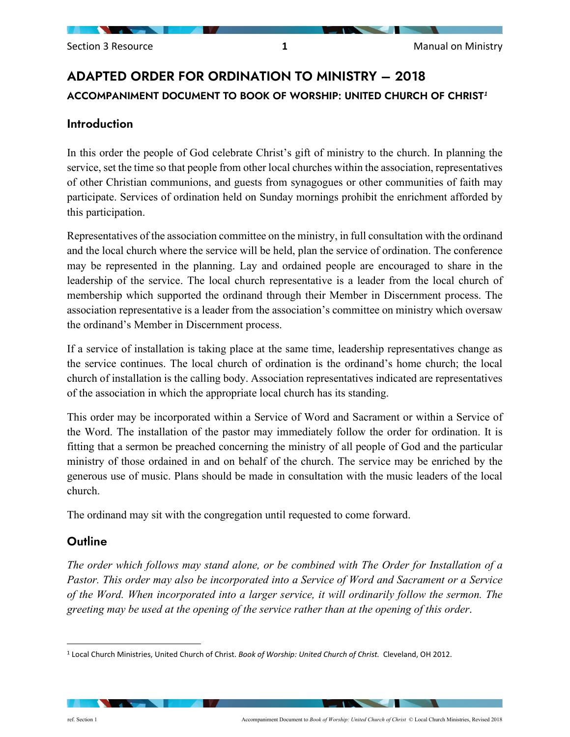# ADAPTED ORDER FOR ORDINATION TO MINISTRY – 2018 ACCOMPANIMENT DOCUMENT TO BOOK OF WORSHIP: UNITED CHURCH OF CHRIST*[1](#page-0-0)*

# Introduction

In this order the people of God celebrate Christ's gift of ministry to the church. In planning the service, set the time so that people from other local churches within the association, representatives of other Christian communions, and guests from synagogues or other communities of faith may participate. Services of ordination held on Sunday mornings prohibit the enrichment afforded by this participation.

Representatives of the association committee on the ministry, in full consultation with the ordinand and the local church where the service will be held, plan the service of ordination. The conference may be represented in the planning. Lay and ordained people are encouraged to share in the leadership of the service. The local church representative is a leader from the local church of membership which supported the ordinand through their Member in Discernment process. The association representative is a leader from the association's committee on ministry which oversaw the ordinand's Member in Discernment process.

If a service of installation is taking place at the same time, leadership representatives change as the service continues. The local church of ordination is the ordinand's home church; the local church of installation is the calling body. Association representatives indicated are representatives of the association in which the appropriate local church has its standing.

This order may be incorporated within a Service of Word and Sacrament or within a Service of the Word. The installation of the pastor may immediately follow the order for ordination. It is fitting that a sermon be preached concerning the ministry of all people of God and the particular ministry of those ordained in and on behalf of the church. The service may be enriched by the generous use of music. Plans should be made in consultation with the music leaders of the local church.

The ordinand may sit with the congregation until requested to come forward.

# **Outline**

*The order which follows may stand alone, or be combined with The Order for Installation of a Pastor. This order may also be incorporated into a Service of Word and Sacrament or a Service of the Word. When incorporated into a larger service, it will ordinarily follow the sermon. The greeting may be used at the opening of the service rather than at the opening of this order*.

<span id="page-0-0"></span><sup>1</sup> Local Church Ministries, United Church of Christ. *Book of Worship: United Church of Christ.* Cleveland, OH 2012.

ref. Section 1 **Accompaniment Document to** *Book of Worship: United Church of Christ* **© Local Church Ministries, Revised 2018**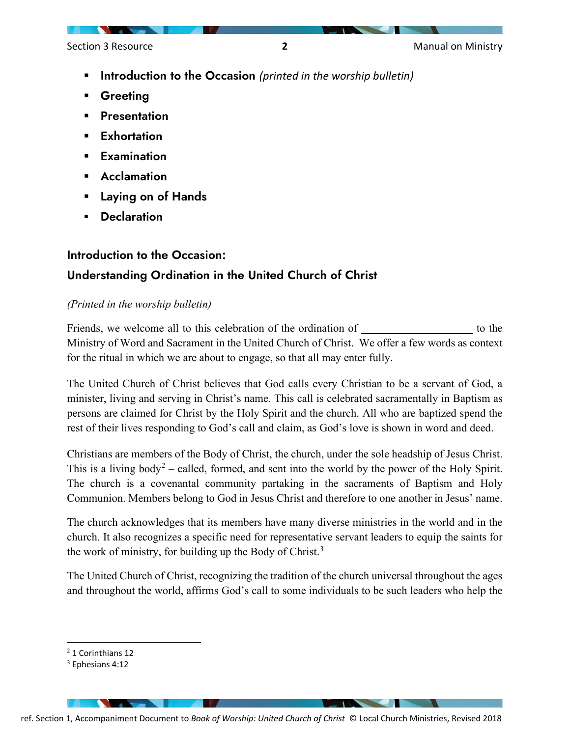Section 3 Resource **2 2 Manual on Ministry** 

- **Introduction to the Occasion** (printed in the worship bulletin)
- Greeting
- **Presentation**
- **Exhortation**
- **Examination**
- Acclamation
- Laying on of Hands
- **Declaration**

# Introduction to the Occasion: Understanding Ordination in the United Church of Christ

# *(Printed in the worship bulletin)*

Friends, we welcome all to this celebration of the ordination of *the step in the step in the step in* to the step in the step in the step in the step in the step in the step in the step in the step in the step in the step Ministry of Word and Sacrament in the United Church of Christ. We offer a few words as context for the ritual in which we are about to engage, so that all may enter fully.

The United Church of Christ believes that God calls every Christian to be a servant of God, a minister, living and serving in Christ's name. This call is celebrated sacramentally in Baptism as persons are claimed for Christ by the Holy Spirit and the church. All who are baptized spend the rest of their lives responding to God's call and claim, as God's love is shown in word and deed.

Christians are members of the Body of Christ, the church, under the sole headship of Jesus Christ. This is a living body<sup>[2](#page-1-0)</sup> – called, formed, and sent into the world by the power of the Holy Spirit. The church is a covenantal community partaking in the sacraments of Baptism and Holy Communion. Members belong to God in Jesus Christ and therefore to one another in Jesus' name.

The church acknowledges that its members have many diverse ministries in the world and in the church. It also recognizes a specific need for representative servant leaders to equip the saints for the work of ministry, for building up the Body of Christ.<sup>[3](#page-1-1)</sup>

The United Church of Christ, recognizing the tradition of the church universal throughout the ages and throughout the world, affirms God's call to some individuals to be such leaders who help the

<span id="page-1-0"></span><sup>2</sup> 1 Corinthians 12

<span id="page-1-1"></span><sup>3</sup> Ephesians 4:12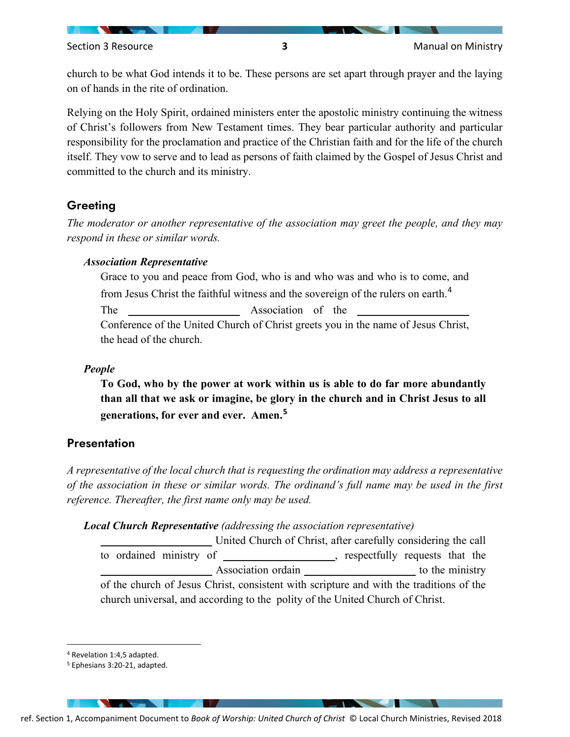church to be what God intends it to be. These persons are set apart through prayer and the laying on of hands in the rite of ordination.

Relying on the Holy Spirit, ordained ministers enter the apostolic ministry continuing the witness of Christ's followers from New Testament times. They bear particular authority and particular responsibility for the proclamation and practice of the Christian faith and for the life of the church itself. They vow to serve and to lead as persons of faith claimed by the Gospel of Jesus Christ and committed to the church and its ministry.

# **Greeting**

*The moderator or another representative of the association may greet the people, and they may respond in these or similar words.*

## *Association Representative*

Grace to you and peace from God, who is and who was and who is to come, and from Jesus Christ the faithful witness and the sovereign of the rulers on earth.<sup>[4](#page-2-0)</sup> The *Association* of the Conference of the United Church of Christ greets you in the name of Jesus Christ, the head of the church.

## *People*

**To God, who by the power at work within us is able to do far more abundantly than all that we ask or imagine, be glory in the church and in Christ Jesus to all generations, for ever and ever. Amen.[5](#page-2-1)**

# **Presentation**

*A representative of the local church that is requesting the ordination may address a representative of the association in these or similar words. The ordinand's full name may be used in the first reference. Thereafter, the first name only may be used.*

## *Local Church Representative (addressing the association representative)*

United Church of Christ, after carefully considering the call to ordained ministry of *\_\_\_\_\_\_\_\_\_\_\_\_\_\_\_\_\_\_\_\_*, respectfully requests that the Association ordain *\_\_\_\_\_\_\_\_\_\_\_\_\_\_\_\_\_\_\_\_\_\_* to the ministry of the church of Jesus Christ, consistent with scripture and with the traditions of the church universal, and according to the polity of the United Church of Christ.

<span id="page-2-1"></span>ref. Section 1, Accompaniment Document to *Book of Worship: United Church of Christ* © Local Church Ministries, Revised 2018

<span id="page-2-0"></span><sup>4</sup> Revelation 1:4,5 adapted.

<sup>5</sup> Ephesians 3:20-21, adapted.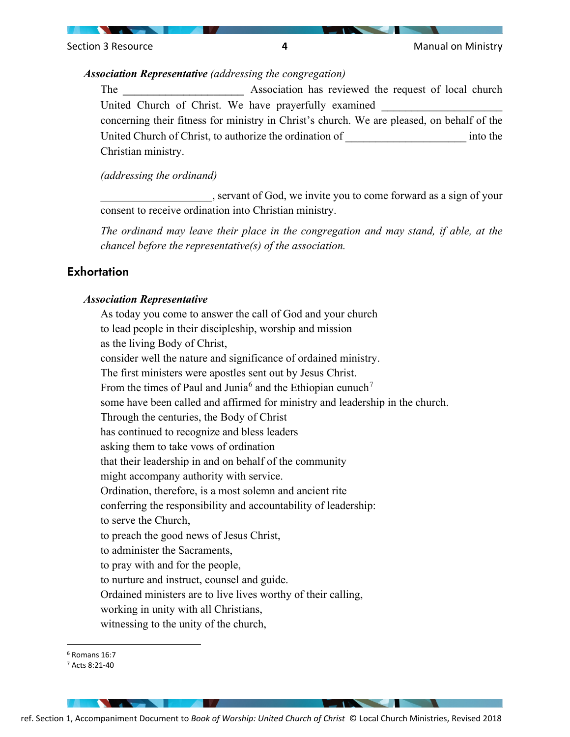

#### *Association Representative (addressing the congregation)*

The **Association** has reviewed the request of local church United Church of Christ. We have prayerfully examined concerning their fitness for ministry in Christ's church. We are pleased, on behalf of the United Church of Christ, to authorize the ordination of  $\qquad \qquad$  into the Christian ministry.

*(addressing the ordinand)*

\_\_\_\_\_\_\_\_\_\_\_\_\_\_\_\_\_\_\_\_, servant of God, we invite you to come forward as a sign of your consent to receive ordination into Christian ministry.

*The ordinand may leave their place in the congregation and may stand, if able, at the chancel before the representative(s) of the association.*

# **Exhortation**

#### *Association Representative*

As today you come to answer the call of God and your church to lead people in their discipleship, worship and mission as the living Body of Christ, consider well the nature and significance of ordained ministry. The first ministers were apostles sent out by Jesus Christ. From the times of Paul and Junia<sup>[6](#page-3-0)</sup> and the Ethiopian eunuch<sup>[7](#page-3-1)</sup> some have been called and affirmed for ministry and leadership in the church. Through the centuries, the Body of Christ has continued to recognize and bless leaders asking them to take vows of ordination that their leadership in and on behalf of the community might accompany authority with service. Ordination, therefore, is a most solemn and ancient rite conferring the responsibility and accountability of leadership: to serve the Church, to preach the good news of Jesus Christ, to administer the Sacraments, to pray with and for the people, to nurture and instruct, counsel and guide. Ordained ministers are to live lives worthy of their calling, working in unity with all Christians, witnessing to the unity of the church,

<span id="page-3-1"></span>ref. Section 1, Accompaniment Document to *Book of Worship: United Church of Christ* © Local Church Ministries, Revised 2018

<span id="page-3-0"></span><sup>6</sup> Romans 16:7

<sup>7</sup> Acts 8:21-40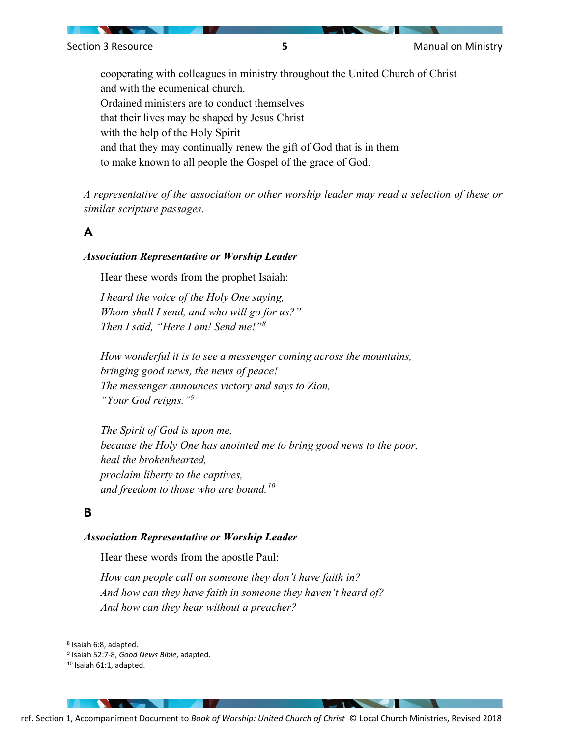cooperating with colleagues in ministry throughout the United Church of Christ and with the ecumenical church. Ordained ministers are to conduct themselves that their lives may be shaped by Jesus Christ with the help of the Holy Spirit and that they may continually renew the gift of God that is in them to make known to all people the Gospel of the grace of God.

*A representative of the association or other worship leader may read a selection of these or similar scripture passages.* 

# A

#### *Association Representative or Worship Leader*

Hear these words from the prophet Isaiah:

*I heard the voice of the Holy One saying, Whom shall I send, and who will go for us?" Then I said, "Here I am! Send me!"[8](#page-4-0)*

*How wonderful it is to see a messenger coming across the mountains, bringing good news, the news of peace! The messenger announces victory and says to Zion, "Your God reigns."[9](#page-4-1)*

*The Spirit of God is upon me, because the Holy One has anointed me to bring good news to the poor, heal the brokenhearted, proclaim liberty to the captives, and freedom to those who are bound.[10](#page-4-2)*

# B

#### *Association Representative or Worship Leader*

Hear these words from the apostle Paul:

*How can people call on someone they don't have faith in? And how can they have faith in someone they haven't heard of? And how can they hear without a preacher?* 

<span id="page-4-0"></span><sup>8</sup> Isaiah 6:8, adapted.

<span id="page-4-2"></span><sup>10</sup> Isaiah 61:1, adapted.

<span id="page-4-1"></span><sup>9</sup> Isaiah 52:7-8, *Good News Bible*, adapted.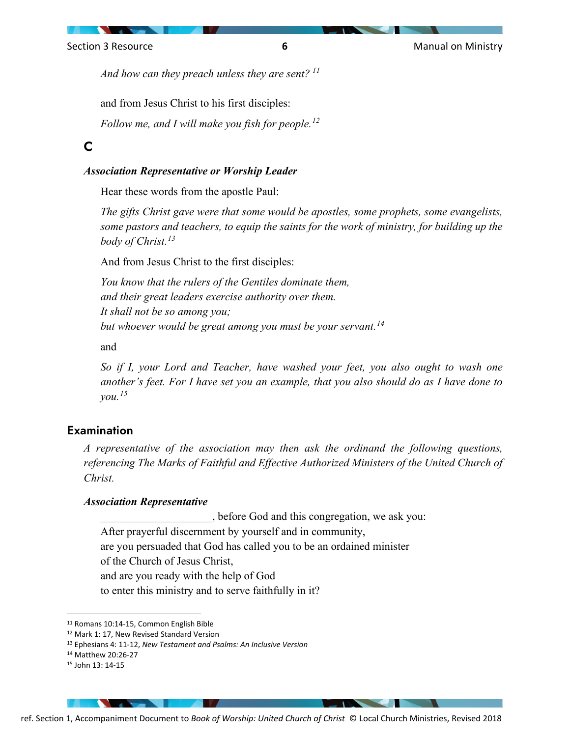

*And how can they preach unless they are sent? [11](#page-5-0)*

and from Jesus Christ to his first disciples:

*Follow me, and I will make you fish for people.[12](#page-5-1)* 

# C

#### *Association Representative or Worship Leader*

Hear these words from the apostle Paul:

*The gifts Christ gave were that some would be apostles, some prophets, some evangelists, some pastors and teachers, to equip the saints for the work of ministry, for building up the body of Christ.[13](#page-5-2)*

And from Jesus Christ to the first disciples:

*You know that the rulers of the Gentiles dominate them, and their great leaders exercise authority over them. It shall not be so among you; but whoever would be great among you must be your servant.[14](#page-5-3)*

and

*So if I, your Lord and Teacher, have washed your feet, you also ought to wash one another's feet. For I have set you an example, that you also should do as I have done to you.[15](#page-5-4)*

# Examination

*A representative of the association may then ask the ordinand the following questions,*  referencing The Marks of Faithful and Effective Authorized Ministers of the United Church of *Christ.*

#### *Association Representative*

\_\_\_\_\_\_\_\_\_\_\_\_\_\_\_\_\_\_\_\_, before God and this congregation, we ask you: After prayerful discernment by yourself and in community, are you persuaded that God has called you to be an ordained minister of the Church of Jesus Christ, and are you ready with the help of God to enter this ministry and to serve faithfully in it?

<span id="page-5-0"></span><sup>11</sup> Romans 10:14-15, Common English Bible

<span id="page-5-1"></span><sup>12</sup> Mark 1: 17, New Revised Standard Version

<span id="page-5-2"></span><sup>13</sup> Ephesians 4: 11-12, *New Testament and Psalms: An Inclusive Version*

<span id="page-5-3"></span><sup>14</sup> Matthew 20:26-27

<span id="page-5-4"></span><sup>15</sup> John 13: 14-15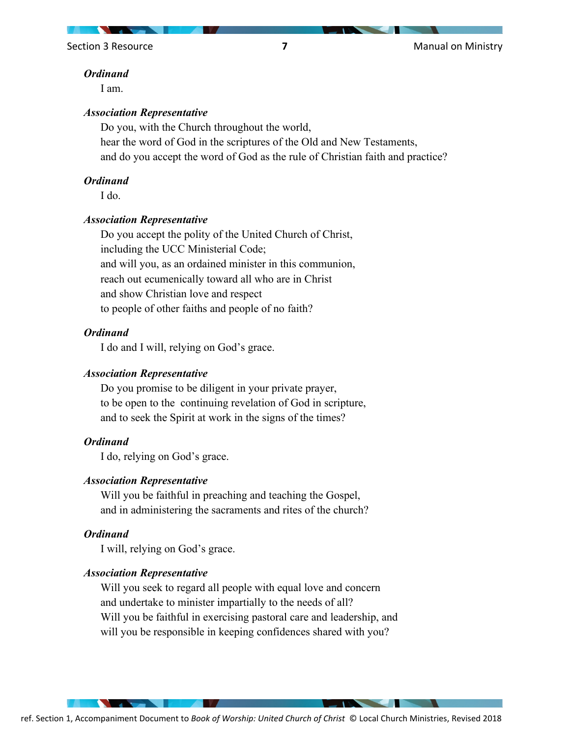Section 3 Resource **7 7 Manual on Ministry Manual on Ministry** 

#### *Ordinand*

I am.

#### *Association Representative*

Do you, with the Church throughout the world, hear the word of God in the scriptures of the Old and New Testaments, and do you accept the word of God as the rule of Christian faith and practice?

#### *Ordinand*

I do.

#### *Association Representative*

Do you accept the polity of the United Church of Christ, including the UCC Ministerial Code; and will you, as an ordained minister in this communion, reach out ecumenically toward all who are in Christ and show Christian love and respect to people of other faiths and people of no faith?

#### *Ordinand*

I do and I will, relying on God's grace.

#### *Association Representative*

Do you promise to be diligent in your private prayer, to be open to the continuing revelation of God in scripture, and to seek the Spirit at work in the signs of the times?

#### *Ordinand*

I do, relying on God's grace.

#### *Association Representative*

Will you be faithful in preaching and teaching the Gospel, and in administering the sacraments and rites of the church?

#### *Ordinand*

I will, relying on God's grace.

#### *Association Representative*

Will you seek to regard all people with equal love and concern and undertake to minister impartially to the needs of all? Will you be faithful in exercising pastoral care and leadership, and will you be responsible in keeping confidences shared with you?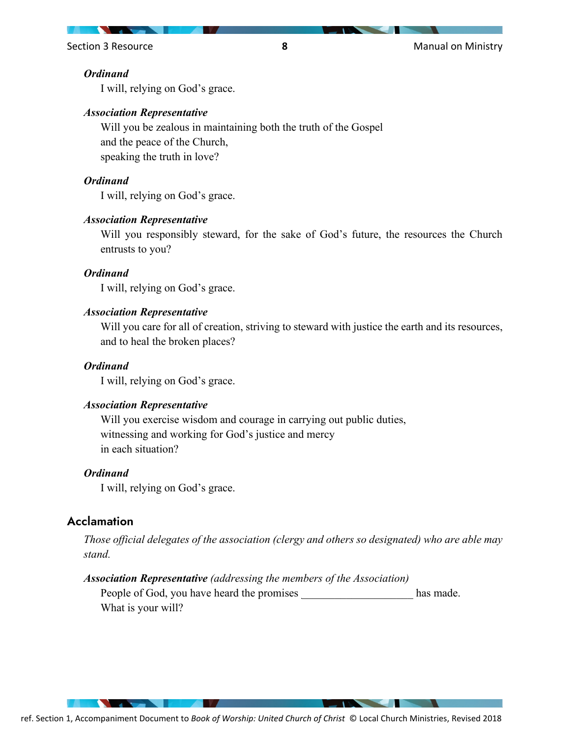Section 3 Resource **8** Manual on Ministry

#### *Ordinand*

I will, relying on God's grace.

#### *Association Representative*

Will you be zealous in maintaining both the truth of the Gospel and the peace of the Church, speaking the truth in love?

## *Ordinand*

I will, relying on God's grace.

#### *Association Representative*

Will you responsibly steward, for the sake of God's future, the resources the Church entrusts to you?

#### *Ordinand*

I will, relying on God's grace.

#### *Association Representative*

Will you care for all of creation, striving to steward with justice the earth and its resources, and to heal the broken places?

#### *Ordinand*

I will, relying on God's grace.

#### *Association Representative*

Will you exercise wisdom and courage in carrying out public duties, witnessing and working for God's justice and mercy in each situation?

#### *Ordinand*

I will, relying on God's grace.

# **Acclamation**

*Those official delegates of the association (clergy and others so designated) who are able may stand.*

#### *Association Representative (addressing the members of the Association)*

People of God, you have heard the promises has made. What is your will?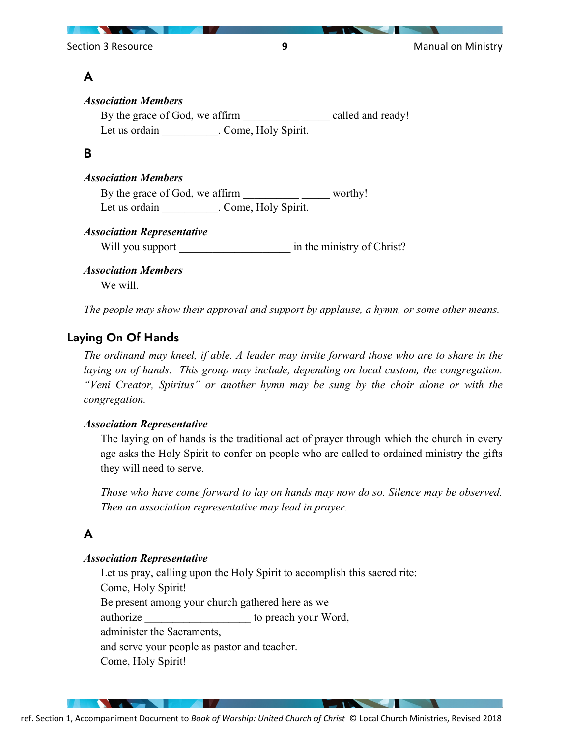Section 3 Resource **9 9 Manual on Ministry** 

# A

# *Association Members* By the grace of God, we affirm entitled and ready! Let us ordain Fig. Come, Holy Spirit. B *Association Members* By the grace of God, we affirm \_\_\_\_\_\_\_\_\_\_\_\_\_\_ worthy! Let us ordain Fig. Come, Holy Spirit. *Association Representative* Will you support in the ministry of Christ? *Association Members* We will.

*The people may show their approval and support by applause, a hymn, or some other means.*

# Laying On Of Hands

*The ordinand may kneel, if able. A leader may invite forward those who are to share in the laying on of hands. This group may include, depending on local custom, the congregation. "Veni Creator, Spiritus" or another hymn may be sung by the choir alone or with the congregation.*

# *Association Representative*

The laying on of hands is the traditional act of prayer through which the church in every age asks the Holy Spirit to confer on people who are called to ordained ministry the gifts they will need to serve.

*Those who have come forward to lay on hands may now do so. Silence may be observed. Then an association representative may lead in prayer.*

# A

# *Association Representative*

Let us pray, calling upon the Holy Spirit to accomplish this sacred rite: Come, Holy Spirit! Be present among your church gathered here as we authorize **\_\_\_\_\_\_\_\_\_\_\_\_\_\_\_\_\_\_\_** to preach your Word, administer the Sacraments,

and serve your people as pastor and teacher.

Come, Holy Spirit!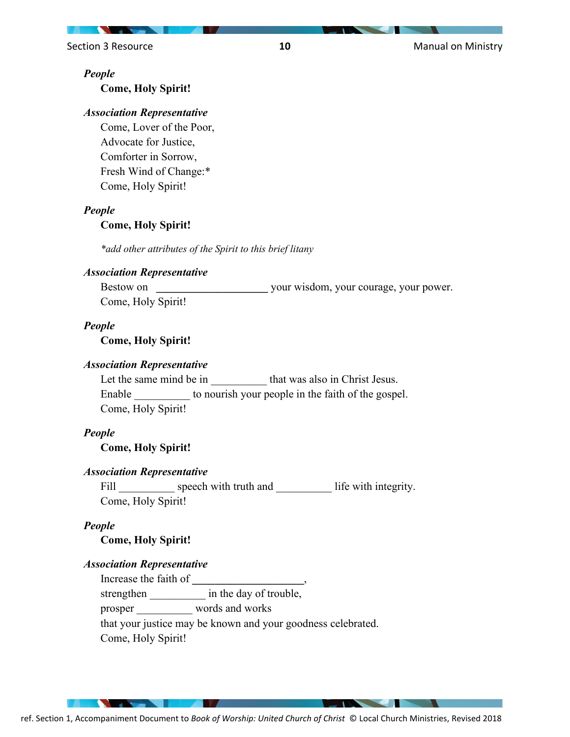Section 3 Resource **10** Manual on Ministry

#### *People*

**Come, Holy Spirit!**

#### *Association Representative*

Come, Lover of the Poor, Advocate for Justice, Comforter in Sorrow, Fresh Wind of Change:\* Come, Holy Spirit!

#### *People*

#### **Come, Holy Spirit!**

*\*add other attributes of the Spirit to this brief litany*

# *Association Representative*

Bestow on **Bestow** on *We are wisdom, your courage, your power.* Come, Holy Spirit!

#### *People*

**Come, Holy Spirit!**

#### *Association Representative*

Let the same mind be in that was also in Christ Jesus. Enable to nourish your people in the faith of the gospel. Come, Holy Spirit!

#### *People*

**Come, Holy Spirit!**

#### *Association Representative*

Fill speech with truth and life with integrity. Come, Holy Spirit!

#### *People*

**Come, Holy Spirit!**

#### *Association Representative*

Increase the faith of **\_\_\_\_\_\_\_\_\_\_\_\_\_\_\_\_\_\_\_\_**, strengthen \_\_\_\_\_\_\_\_\_\_\_ in the day of trouble, prosper \_\_\_\_\_\_\_\_\_\_ words and works that your justice may be known and your goodness celebrated. Come, Holy Spirit!

ref. Section 1, Accompaniment Document to *Book of Worship: United Church of Christ* © Local Church Ministries, Revised 2018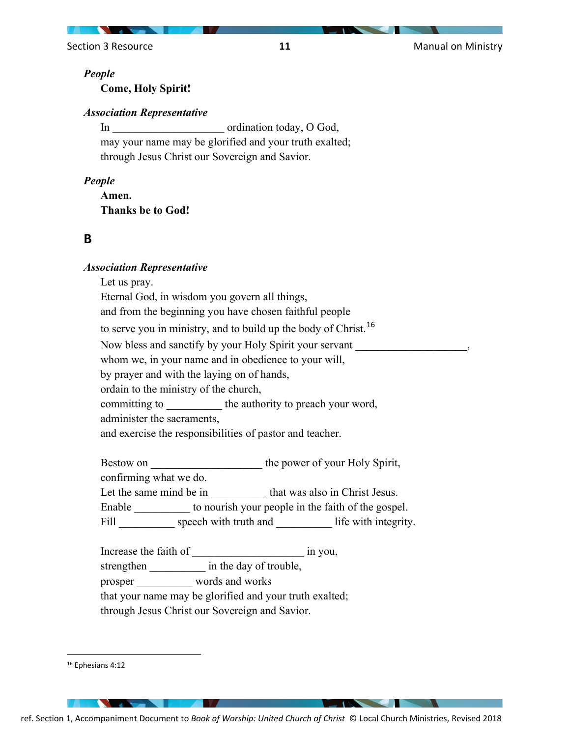Section 3 Resource **11 11** Manual on Ministry

#### *People*

**Come, Holy Spirit!**

#### *Association Representative*

In ordination today, O God, may your name may be glorified and your truth exalted; through Jesus Christ our Sovereign and Savior.

#### *People*

**Amen. Thanks be to God!**

## B

#### *Association Representative*

Let us pray.

Eternal God, in wisdom you govern all things, and from the beginning you have chosen faithful people

to serve you in ministry, and to build up the body of Christ.<sup>[16](#page-10-0)</sup>

Now bless and sanctify by your Holy Spirit your servant **\_\_\_\_\_\_\_\_\_\_\_\_\_\_\_\_\_\_\_\_**,

whom we, in your name and in obedience to your will,

by prayer and with the laying on of hands,

ordain to the ministry of the church,

committing to the authority to preach your word,

administer the sacraments,

and exercise the responsibilities of pastor and teacher.

Bestow on **the power of your Holy Spirit,** 

confirming what we do.

Let the same mind be in that was also in Christ Jesus.

Enable \_\_\_\_\_\_\_\_\_\_\_\_ to nourish your people in the faith of the gospel.

Fill speech with truth and life with integrity.

Increase the faith of **a** in you, strengthen \_\_\_\_\_\_\_\_\_\_\_\_\_ in the day of trouble, prosper words and works that your name may be glorified and your truth exalted;

through Jesus Christ our Sovereign and Savior.

<span id="page-10-0"></span><sup>16</sup> Ephesians 4:12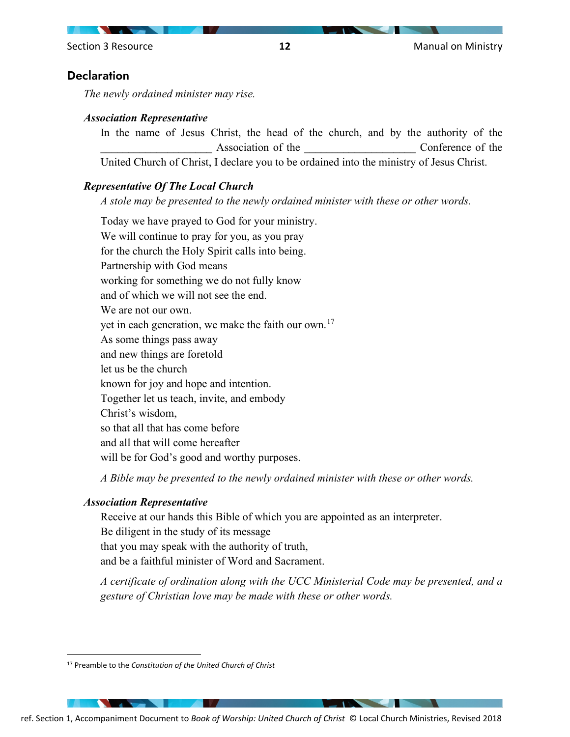# **Declaration**

*The newly ordained minister may rise.* 

#### *Association Representative*

In the name of Jesus Christ, the head of the church, and by the authority of the Association of the **Conference** of the **Association** of the **Association** of the **Legation** United Church of Christ, I declare you to be ordained into the ministry of Jesus Christ.

#### *Representative Of The Local Church*

*A stole may be presented to the newly ordained minister with these or other words.* 

Today we have prayed to God for your ministry. We will continue to pray for you, as you pray for the church the Holy Spirit calls into being. Partnership with God means working for something we do not fully know and of which we will not see the end. We are not our own. yet in each generation, we make the faith our own.<sup>[17](#page-11-0)</sup> As some things pass away and new things are foretold let us be the church known for joy and hope and intention. Together let us teach, invite, and embody Christ's wisdom, so that all that has come before and all that will come hereafter will be for God's good and worthy purposes.

*A Bible may be presented to the newly ordained minister with these or other words.* 

#### *Association Representative*

Receive at our hands this Bible of which you are appointed as an interpreter. Be diligent in the study of its message that you may speak with the authority of truth, and be a faithful minister of Word and Sacrament.

*A certificate of ordination along with the UCC Ministerial Code may be presented, and a gesture of Christian love may be made with these or other words.* 

<span id="page-11-0"></span><sup>17</sup> Preamble to the *Constitution of the United Church of Christ*